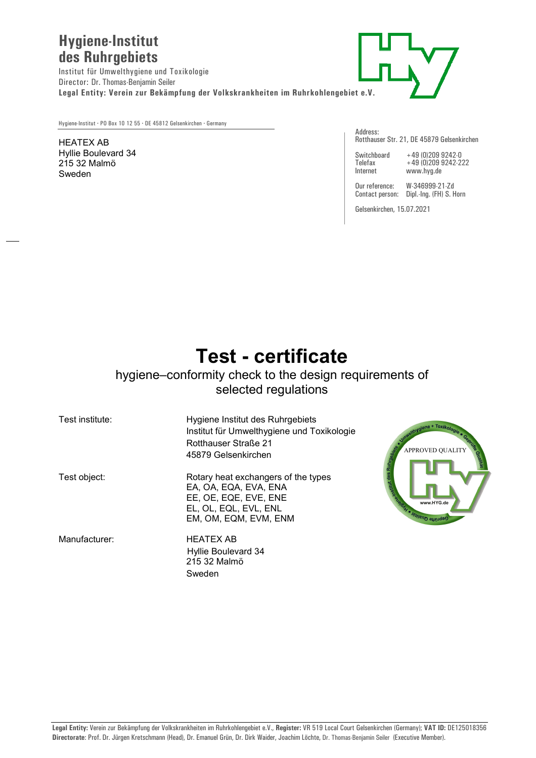## **Hygiene-Institut des Ruhrgebiets**

Institut für Umwelthygiene und Toxikologie Director: Dr. Thomas-Benjamin Seiler **Legal Entity: Verein zur Bekämpfung der Volkskrankheiten im Ruhrkohlengebiet e.V.** 



Hygiene-Institut **·** PO Box 10 12 55 **·** DE 45812 Gelsenkirchen **·** Germany

## HEATEX AB Hyllie Boulevard 34 215 32 Malmö Sweden

Address: Rotthauser Str. 21, DE 45879 Gelsenkirchen

| Switchboar |
|------------|
| Telefax    |
| Internet   |

Switchboard +49 (0)209 9242-0 Telefax +49 (0)209 9242-222 www.hyg.de

Our reference: W-346999-21-Zd Contact person: Dipl.-Ing. (FH) S. Horn

Gelsenkirchen, 15.07.2021

## **Test - certificate**

## hygiene–conformity check to the design requirements of selected regulations

| Test institute: | Hygiene Institut des Ruhrgebiets<br>Institut für Umwelthygiene und Toxikologie<br><b>Rotthauser Straße 21</b><br>45879 Gelsenkirchen    | VUALITY REAL                                      |
|-----------------|-----------------------------------------------------------------------------------------------------------------------------------------|---------------------------------------------------|
| Test object:    | Rotary heat exchangers of the types<br>EA, OA, EQA, EVA, ENA<br>EE, OE, EQE, EVE, ENE<br>EL, OL, EQL, EVL, ENL<br>EM, OM, EQM, EVM, ENM | Mitterwegen N.<br>www.HYG.de<br>Geprüfte Qualitär |
| Manufacturer:   | <b>HEATEX AB</b><br>Hyllie Boulevard 34<br>215 32 Malmö<br>Sweden                                                                       |                                                   |